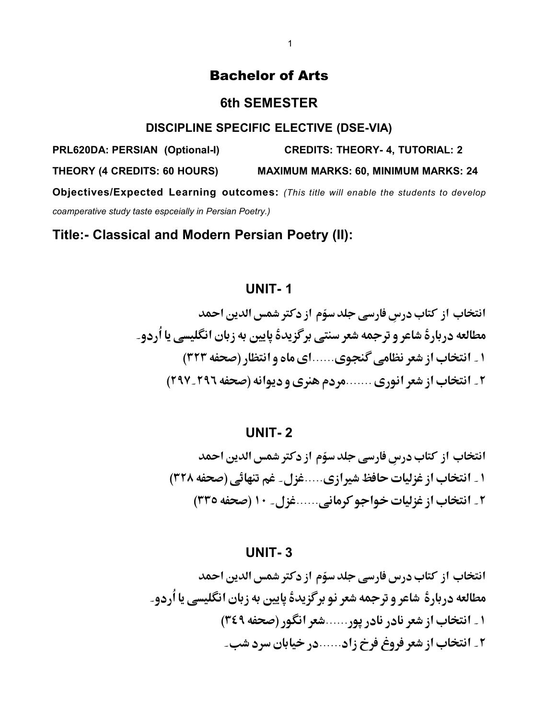## Bachelor of Arts

### **6th SEMESTER**

#### **DISCIPLINE SPECIFIC ELECTIVE (DSE-VIA)**

**PRL620DA: PERSIAN (Optional-I) CREDITS: THEORY- 4, TUTORIAL: 2 THEORY (4 CREDITS: 60 HOURS) MAXIMUM MARKS: 60, MINIMUM MARKS: 24 Objectives/Expected Learning outcomes:** *(This title will enable the students to develop coamperative study taste espceially in Persian Poetry.)* 

**Title:- Classical and Modern Persian Poetry (II):**

## **UNIT- 1**

انتخاب از کتاب درسِ فارسی جلد سوّم از دکتر شمس الدین احمد مطالعه دربارةً شاعر و ترجمه شعر سنتي برگزيدة پايين به زبان انگليسي يا اُردو۔ ۱ ـ انتخاب از شعر نظامي گنجوي ......اي ماه و انتظار (صحفه ٣٢٣) ۲\_ انتخاب از شعر انوري .......مردم هنري و ديوانه (صحفه ٢٩٦\_٢٩٧)

**UNIT- 2**

انتخاب از کتاب درسِ فارسی جلد سوّم از دکتر شمس الدین احمد ١ \_ انتخاب از غزليات حافظ شيرازي.....غزل\_ غم تنهائي (صحفه ٣٢٨) ۲\_ انتخاب از غزلیات خواجو کرمانی......غزل\_ ۱۰ (صحفه ۳۳۵)

**UNIT- 3**

انتخاب از کتاب درس فارسی جلد سوّم از دکتر شمس الدین احمد مطالعه دربارة شاعر و ترجمه شعر نو برگزیدة پایین به زبان انگلیسی یا اُردو۔ ۱ ـ انتخاب از شعر نادر نادر یور......شعر انگور (صحفه ۳٤٩) ۲\_ انتخاب از شعر فروغ فرخ زاد......در خیابان سرد شب\_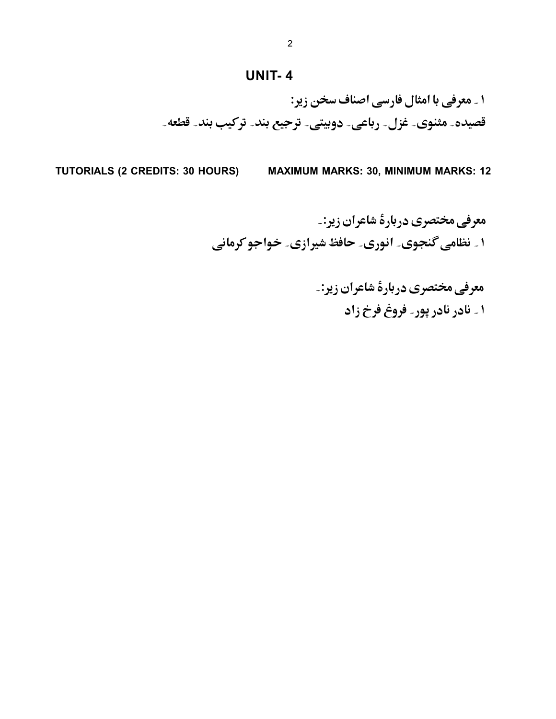## **UNIT- 4**

۱ ۔ معرفی با امثال فارسی اصناف سخن زیر: قصیدہ۔ مثنوی۔ غزل۔ رباعی۔ دوبیتی۔ ترجیع بند۔ ترکیب بند۔ قطعه۔

**TUTORIALS (2 CREDITS: 30 HOURS) MAXIMUM MARKS: 30, MINIMUM MARKS: 12**

معرفی مختصری دربارهٔ شاعران زیر:۔ ۱ ۔ نظامی گنجوی۔ انوری۔ حافظ شیرازی۔ خواجو کرمانی

> معرفي مختصري دربارة شاعران زير:۔ ۱ \_ نادر نادر پور ِ فروغ فرخ زاد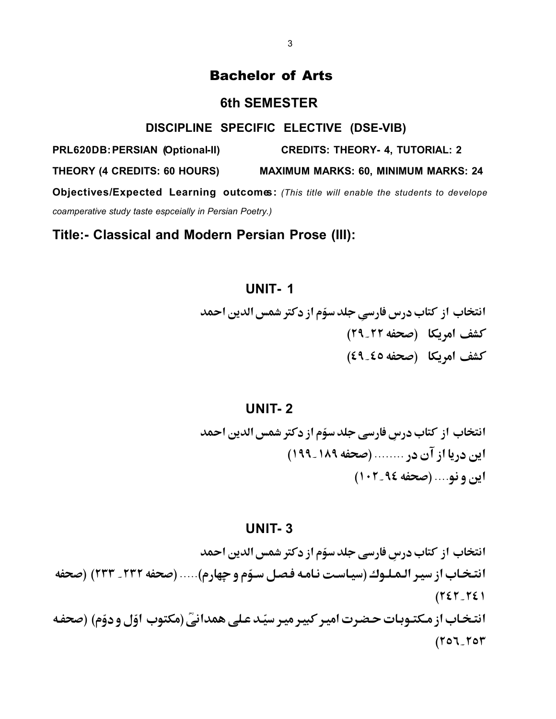## Bachelor of Arts

### **6th SEMESTER**

#### **DISCIPLINE SPECIFIC ELECTIVE (DSE-VIB)**

**PRL620DB: PERSIAN (Optional-II) CREDITS: THEORY- 4, TUTORIAL: 2**

**THEORY (4 CREDITS: 60 HOURS) MAXIMUM MARKS: 60, MINIMUM MARKS: 24** 

**Objectives/Expected Learning outcomes:** *(This title will enable the students to develope coamperative study taste espceially in Persian Poetry.)* 

**Title:- Classical and Modern Persian Prose (III):**

# **UNIT- 1**

انتخاب از کتاب درس فارسیِ جلد سوّم از دکتر شمس الدین احمد كشف امريكا (صحفه ٢٢\_٢٩) كشف امريكا (صحفه ٤٩\_٤٩)

## **UNIT- 2**

انتخاب از کتاب درسِ فارسی جلد سوّم از دکتر شمس الدین احمد ابن دریا از آن در ........ (صحفه ۱۸۹\_۱۹۹) اين ونو.... (صحفه ٩٤-١٠٢)

#### **UNIT- 3**

انتخاب از کتاب درسِ فارسی جلد سوّم از دکتر شمس الدین احمد انتخاب از سير الـمـلـوك (سيـاسـت نـامـه فـصـل سـوّم و چهارم)..... (صحفه ٢٣٢ ـ ٢٣٣) (صحفه  $(TET_TSE)$ انتخاب از مکتـوبات حـضرت اميـر کبيـر ميـر سيّـد عـلي همدانيّ (مکتوب اوّل و دوّم) (صحفـه  $(107 - 104)$